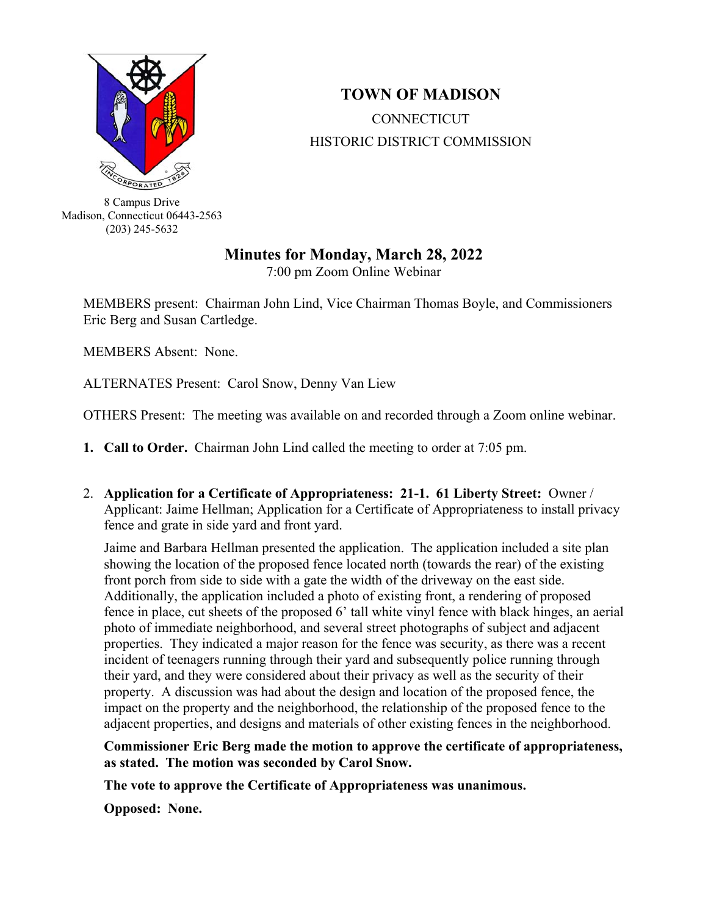

## **TOWN OF MADISON CONNECTICUT** HISTORIC DISTRICT COMMISSION

8 Campus Drive Madison, Connecticut 06443-2563 (203) 245-5632

## **Minutes for Monday, March 28, 2022**

7:00 pm Zoom Online Webinar

MEMBERS present: Chairman John Lind, Vice Chairman Thomas Boyle, and Commissioners Eric Berg and Susan Cartledge.

MEMBERS Absent: None.

ALTERNATES Present: Carol Snow, Denny Van Liew

OTHERS Present: The meeting was available on and recorded through a Zoom online webinar.

- **1. Call to Order.** Chairman John Lind called the meeting to order at 7:05 pm.
- 2. **Application for a Certificate of Appropriateness: 21-1. 61 Liberty Street:** Owner / Applicant: Jaime Hellman; Application for a Certificate of Appropriateness to install privacy fence and grate in side yard and front yard.

Jaime and Barbara Hellman presented the application. The application included a site plan showing the location of the proposed fence located north (towards the rear) of the existing front porch from side to side with a gate the width of the driveway on the east side. Additionally, the application included a photo of existing front, a rendering of proposed fence in place, cut sheets of the proposed 6' tall white vinyl fence with black hinges, an aerial photo of immediate neighborhood, and several street photographs of subject and adjacent properties. They indicated a major reason for the fence was security, as there was a recent incident of teenagers running through their yard and subsequently police running through their yard, and they were considered about their privacy as well as the security of their property. A discussion was had about the design and location of the proposed fence, the impact on the property and the neighborhood, the relationship of the proposed fence to the adjacent properties, and designs and materials of other existing fences in the neighborhood.

## **Commissioner Eric Berg made the motion to approve the certificate of appropriateness, as stated. The motion was seconded by Carol Snow.**

**The vote to approve the Certificate of Appropriateness was unanimous.** 

**Opposed: None.**